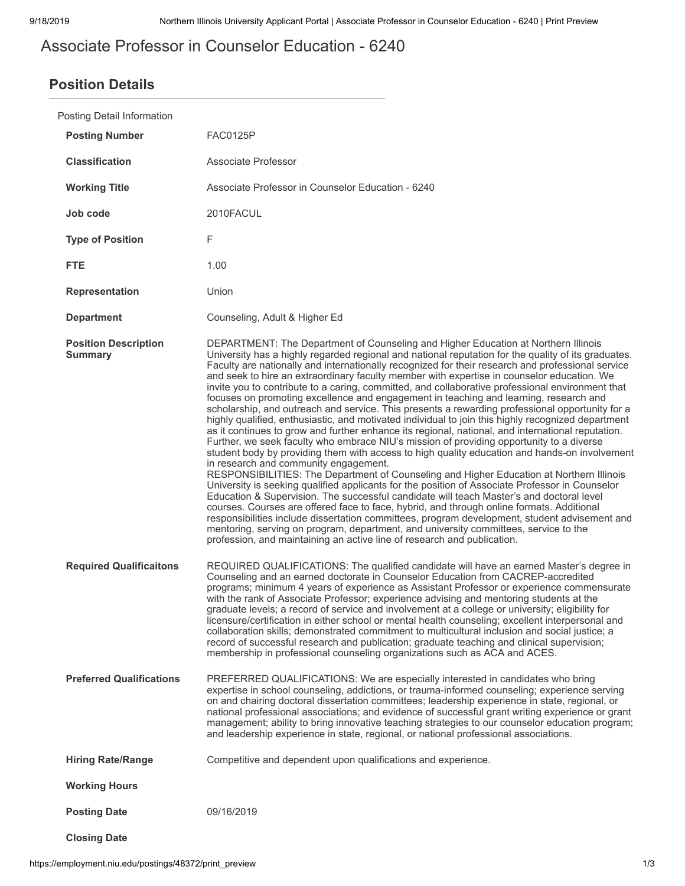# Associate Professor in Counselor Education - 6240

## **Position Details**

| Posting Detail Information                    |                                                                                                                                                                                                                                                                                                                                                                                                                                                                                                                                                                                                                                                                                                                                                                                                                                                                                                                                                                                                                                                                                                                                                                                                                                                                                                                                                                                                                                                                                                                                                                                                                                                                                                                                                                                                           |  |
|-----------------------------------------------|-----------------------------------------------------------------------------------------------------------------------------------------------------------------------------------------------------------------------------------------------------------------------------------------------------------------------------------------------------------------------------------------------------------------------------------------------------------------------------------------------------------------------------------------------------------------------------------------------------------------------------------------------------------------------------------------------------------------------------------------------------------------------------------------------------------------------------------------------------------------------------------------------------------------------------------------------------------------------------------------------------------------------------------------------------------------------------------------------------------------------------------------------------------------------------------------------------------------------------------------------------------------------------------------------------------------------------------------------------------------------------------------------------------------------------------------------------------------------------------------------------------------------------------------------------------------------------------------------------------------------------------------------------------------------------------------------------------------------------------------------------------------------------------------------------------|--|
| <b>Posting Number</b>                         | <b>FAC0125P</b>                                                                                                                                                                                                                                                                                                                                                                                                                                                                                                                                                                                                                                                                                                                                                                                                                                                                                                                                                                                                                                                                                                                                                                                                                                                                                                                                                                                                                                                                                                                                                                                                                                                                                                                                                                                           |  |
| <b>Classification</b>                         | Associate Professor                                                                                                                                                                                                                                                                                                                                                                                                                                                                                                                                                                                                                                                                                                                                                                                                                                                                                                                                                                                                                                                                                                                                                                                                                                                                                                                                                                                                                                                                                                                                                                                                                                                                                                                                                                                       |  |
| <b>Working Title</b>                          | Associate Professor in Counselor Education - 6240                                                                                                                                                                                                                                                                                                                                                                                                                                                                                                                                                                                                                                                                                                                                                                                                                                                                                                                                                                                                                                                                                                                                                                                                                                                                                                                                                                                                                                                                                                                                                                                                                                                                                                                                                         |  |
| Job code                                      | 2010FACUL                                                                                                                                                                                                                                                                                                                                                                                                                                                                                                                                                                                                                                                                                                                                                                                                                                                                                                                                                                                                                                                                                                                                                                                                                                                                                                                                                                                                                                                                                                                                                                                                                                                                                                                                                                                                 |  |
| <b>Type of Position</b>                       | F                                                                                                                                                                                                                                                                                                                                                                                                                                                                                                                                                                                                                                                                                                                                                                                                                                                                                                                                                                                                                                                                                                                                                                                                                                                                                                                                                                                                                                                                                                                                                                                                                                                                                                                                                                                                         |  |
| <b>FTE</b>                                    | 1.00                                                                                                                                                                                                                                                                                                                                                                                                                                                                                                                                                                                                                                                                                                                                                                                                                                                                                                                                                                                                                                                                                                                                                                                                                                                                                                                                                                                                                                                                                                                                                                                                                                                                                                                                                                                                      |  |
| <b>Representation</b>                         | Union                                                                                                                                                                                                                                                                                                                                                                                                                                                                                                                                                                                                                                                                                                                                                                                                                                                                                                                                                                                                                                                                                                                                                                                                                                                                                                                                                                                                                                                                                                                                                                                                                                                                                                                                                                                                     |  |
| <b>Department</b>                             | Counseling, Adult & Higher Ed                                                                                                                                                                                                                                                                                                                                                                                                                                                                                                                                                                                                                                                                                                                                                                                                                                                                                                                                                                                                                                                                                                                                                                                                                                                                                                                                                                                                                                                                                                                                                                                                                                                                                                                                                                             |  |
| <b>Position Description</b><br><b>Summary</b> | DEPARTMENT: The Department of Counseling and Higher Education at Northern Illinois<br>University has a highly regarded regional and national reputation for the quality of its graduates.<br>Faculty are nationally and internationally recognized for their research and professional service<br>and seek to hire an extraordinary faculty member with expertise in counselor education. We<br>invite you to contribute to a caring, committed, and collaborative professional environment that<br>focuses on promoting excellence and engagement in teaching and learning, research and<br>scholarship, and outreach and service. This presents a rewarding professional opportunity for a<br>highly qualified, enthusiastic, and motivated individual to join this highly recognized department<br>as it continues to grow and further enhance its regional, national, and international reputation.<br>Further, we seek faculty who embrace NIU's mission of providing opportunity to a diverse<br>student body by providing them with access to high quality education and hands-on involvement<br>in research and community engagement.<br>RESPONSIBILITIES: The Department of Counseling and Higher Education at Northern Illinois<br>University is seeking qualified applicants for the position of Associate Professor in Counselor<br>Education & Supervision. The successful candidate will teach Master's and doctoral level<br>courses. Courses are offered face to face, hybrid, and through online formats. Additional<br>responsibilities include dissertation committees, program development, student advisement and<br>mentoring, serving on program, department, and university committees, service to the<br>profession, and maintaining an active line of research and publication. |  |
| <b>Required Qualificaitons</b>                | REQUIRED QUALIFICATIONS: The qualified candidate will have an earned Master's degree in<br>Counseling and an earned doctorate in Counselor Education from CACREP-accredited<br>programs; minimum 4 years of experience as Assistant Professor or experience commensurate<br>with the rank of Associate Professor; experience advising and mentoring students at the<br>graduate levels; a record of service and involvement at a college or university; eligibility for<br>licensure/certification in either school or mental health counseling; excellent interpersonal and<br>collaboration skills; demonstrated commitment to multicultural inclusion and social justice; a<br>record of successful research and publication; graduate teaching and clinical supervision;<br>membership in professional counseling organizations such as ACA and ACES.                                                                                                                                                                                                                                                                                                                                                                                                                                                                                                                                                                                                                                                                                                                                                                                                                                                                                                                                                 |  |
| <b>Preferred Qualifications</b>               | PREFERRED QUALIFICATIONS: We are especially interested in candidates who bring<br>expertise in school counseling, addictions, or trauma-informed counseling; experience serving<br>on and chairing doctoral dissertation committees; leadership experience in state, regional, or<br>national professional associations; and evidence of successful grant writing experience or grant<br>management; ability to bring innovative teaching strategies to our counselor education program;<br>and leadership experience in state, regional, or national professional associations.                                                                                                                                                                                                                                                                                                                                                                                                                                                                                                                                                                                                                                                                                                                                                                                                                                                                                                                                                                                                                                                                                                                                                                                                                          |  |
| <b>Hiring Rate/Range</b>                      | Competitive and dependent upon qualifications and experience.                                                                                                                                                                                                                                                                                                                                                                                                                                                                                                                                                                                                                                                                                                                                                                                                                                                                                                                                                                                                                                                                                                                                                                                                                                                                                                                                                                                                                                                                                                                                                                                                                                                                                                                                             |  |
| <b>Working Hours</b>                          |                                                                                                                                                                                                                                                                                                                                                                                                                                                                                                                                                                                                                                                                                                                                                                                                                                                                                                                                                                                                                                                                                                                                                                                                                                                                                                                                                                                                                                                                                                                                                                                                                                                                                                                                                                                                           |  |
| <b>Posting Date</b>                           | 09/16/2019                                                                                                                                                                                                                                                                                                                                                                                                                                                                                                                                                                                                                                                                                                                                                                                                                                                                                                                                                                                                                                                                                                                                                                                                                                                                                                                                                                                                                                                                                                                                                                                                                                                                                                                                                                                                |  |
| <b>Closing Date</b>                           |                                                                                                                                                                                                                                                                                                                                                                                                                                                                                                                                                                                                                                                                                                                                                                                                                                                                                                                                                                                                                                                                                                                                                                                                                                                                                                                                                                                                                                                                                                                                                                                                                                                                                                                                                                                                           |  |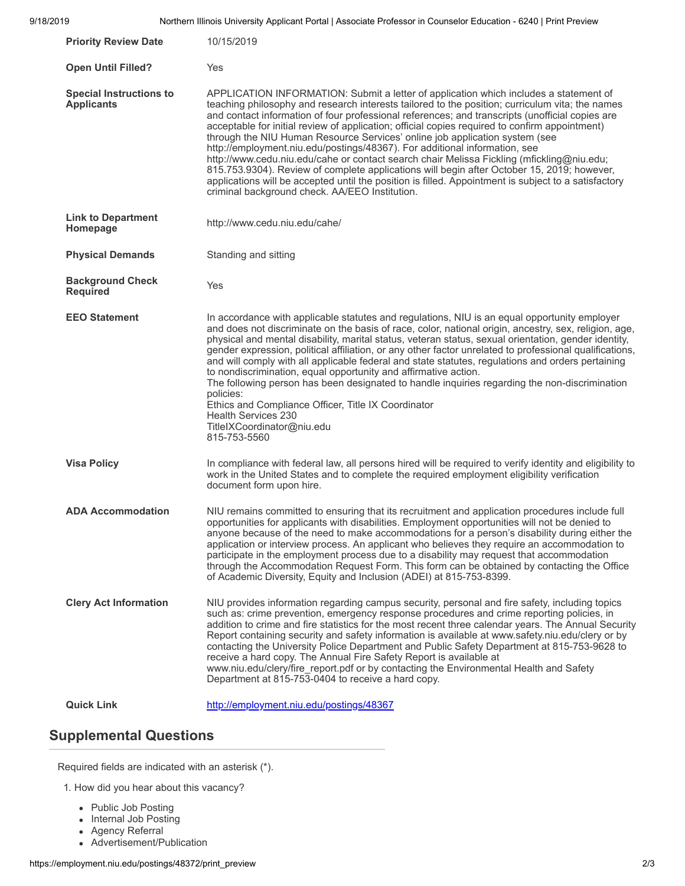| 9/18/2019 |                                                     | Northern Illinois University Applicant Portal   Associate Professor in Counselor Education - 6240   Print Preview                                                                                                                                                                                                                                                                                                                                                                                                                                                                                                                                                                                                                                                                                                                                                                                               |
|-----------|-----------------------------------------------------|-----------------------------------------------------------------------------------------------------------------------------------------------------------------------------------------------------------------------------------------------------------------------------------------------------------------------------------------------------------------------------------------------------------------------------------------------------------------------------------------------------------------------------------------------------------------------------------------------------------------------------------------------------------------------------------------------------------------------------------------------------------------------------------------------------------------------------------------------------------------------------------------------------------------|
|           | <b>Priority Review Date</b>                         | 10/15/2019                                                                                                                                                                                                                                                                                                                                                                                                                                                                                                                                                                                                                                                                                                                                                                                                                                                                                                      |
|           | <b>Open Until Filled?</b>                           | Yes                                                                                                                                                                                                                                                                                                                                                                                                                                                                                                                                                                                                                                                                                                                                                                                                                                                                                                             |
|           | <b>Special Instructions to</b><br><b>Applicants</b> | APPLICATION INFORMATION: Submit a letter of application which includes a statement of<br>teaching philosophy and research interests tailored to the position; curriculum vita; the names<br>and contact information of four professional references; and transcripts (unofficial copies are<br>acceptable for initial review of application; official copies required to confirm appointment)<br>through the NIU Human Resource Services' online job application system (see<br>http://employment.niu.edu/postings/48367). For additional information, see<br>http://www.cedu.niu.edu/cahe or contact search chair Melissa Fickling (mfickling@niu.edu;<br>815.753.9304). Review of complete applications will begin after October 15, 2019; however,<br>applications will be accepted until the position is filled. Appointment is subject to a satisfactory<br>criminal background check. AA/EEO Institution. |
|           | <b>Link to Department</b><br>Homepage               | http://www.cedu.niu.edu/cahe/                                                                                                                                                                                                                                                                                                                                                                                                                                                                                                                                                                                                                                                                                                                                                                                                                                                                                   |
|           | <b>Physical Demands</b>                             | Standing and sitting                                                                                                                                                                                                                                                                                                                                                                                                                                                                                                                                                                                                                                                                                                                                                                                                                                                                                            |
|           | <b>Background Check</b><br><b>Required</b>          | Yes                                                                                                                                                                                                                                                                                                                                                                                                                                                                                                                                                                                                                                                                                                                                                                                                                                                                                                             |
|           | <b>EEO Statement</b>                                | In accordance with applicable statutes and regulations, NIU is an equal opportunity employer<br>and does not discriminate on the basis of race, color, national origin, ancestry, sex, religion, age,<br>physical and mental disability, marital status, veteran status, sexual orientation, gender identity,<br>gender expression, political affiliation, or any other factor unrelated to professional qualifications,<br>and will comply with all applicable federal and state statutes, regulations and orders pertaining<br>to nondiscrimination, equal opportunity and affirmative action.<br>The following person has been designated to handle inquiries regarding the non-discrimination<br>policies:<br>Ethics and Compliance Officer, Title IX Coordinator<br><b>Health Services 230</b><br>TitleIXCoordinator@niu.edu<br>815-753-5560                                                               |
|           | <b>Visa Policy</b>                                  | In compliance with federal law, all persons hired will be required to verify identity and eligibility to<br>work in the United States and to complete the required employment eligibility verification<br>document form upon hire.                                                                                                                                                                                                                                                                                                                                                                                                                                                                                                                                                                                                                                                                              |
|           | <b>ADA Accommodation</b>                            | NIU remains committed to ensuring that its recruitment and application procedures include full<br>opportunities for applicants with disabilities. Employment opportunities will not be denied to<br>anyone because of the need to make accommodations for a person's disability during either the<br>application or interview process. An applicant who believes they require an accommodation to<br>participate in the employment process due to a disability may request that accommodation<br>through the Accommodation Request Form. This form can be obtained by contacting the Office<br>of Academic Diversity, Equity and Inclusion (ADEI) at 815-753-8399.                                                                                                                                                                                                                                              |
|           | <b>Clery Act Information</b>                        | NIU provides information regarding campus security, personal and fire safety, including topics<br>such as: crime prevention, emergency response procedures and crime reporting policies, in<br>addition to crime and fire statistics for the most recent three calendar years. The Annual Security<br>Report containing security and safety information is available at www.safety.niu.edu/clery or by<br>contacting the University Police Department and Public Safety Department at 815-753-9628 to<br>receive a hard copy. The Annual Fire Safety Report is available at<br>www.niu.edu/clery/fire_report.pdf or by contacting the Environmental Health and Safety<br>Department at 815-753-0404 to receive a hard copy.                                                                                                                                                                                     |
|           | <b>Quick Link</b>                                   | http://employment.niu.edu/postings/48367                                                                                                                                                                                                                                                                                                                                                                                                                                                                                                                                                                                                                                                                                                                                                                                                                                                                        |

### **Supplemental Questions**

Required fields are indicated with an asterisk (\*).

1. How did you hear about this vacancy?

- Public Job Posting
- Internal Job Posting
- Agency Referral
- Advertisement/Publication